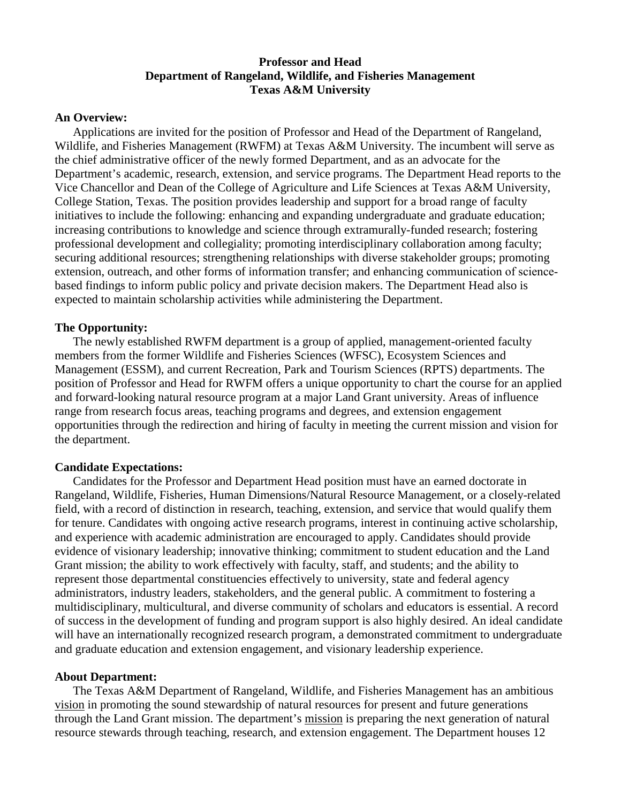# **Professor and Head Department of Rangeland, Wildlife, and Fisheries Management Texas A&M University**

### **An Overview:**

Applications are invited for the position of Professor and Head of the Department of Rangeland, Wildlife, and Fisheries Management (RWFM) at Texas A&M University. The incumbent will serve as the chief administrative officer of the newly formed Department, and as an advocate for the Department's academic, research, extension, and service programs. The Department Head reports to the Vice Chancellor and Dean of the College of Agriculture and Life Sciences at Texas A&M University, College Station, Texas. The position provides leadership and support for a broad range of faculty initiatives to include the following: enhancing and expanding undergraduate and graduate education; increasing contributions to knowledge and science through extramurally-funded research; fostering professional development and collegiality; promoting interdisciplinary collaboration among faculty; securing additional resources; strengthening relationships with diverse stakeholder groups; promoting extension, outreach, and other forms of information transfer; and enhancing communication of science– based findings to inform public policy and private decision makers. The Department Head also is expected to maintain scholarship activities while administering the Department.

## **The Opportunity:**

The newly established RWFM department is a group of applied, management-oriented faculty members from the former Wildlife and Fisheries Sciences (WFSC), Ecosystem Sciences and Management (ESSM), and current Recreation, Park and Tourism Sciences (RPTS) departments. The position of Professor and Head for RWFM offers a unique opportunity to chart the course for an applied and forward-looking natural resource program at a major Land Grant university. Areas of influence range from research focus areas, teaching programs and degrees, and extension engagement opportunities through the redirection and hiring of faculty in meeting the current mission and vision for the department.

#### **Candidate Expectations:**

Candidates for the Professor and Department Head position must have an earned doctorate in Rangeland, Wildlife, Fisheries, Human Dimensions/Natural Resource Management, or a closely-related field, with a record of distinction in research, teaching, extension, and service that would qualify them for tenure. Candidates with ongoing active research programs, interest in continuing active scholarship, and experience with academic administration are encouraged to apply. Candidates should provide evidence of visionary leadership; innovative thinking; commitment to student education and the Land Grant mission; the ability to work effectively with faculty, staff, and students; and the ability to represent those departmental constituencies effectively to university, state and federal agency administrators, industry leaders, stakeholders, and the general public. A commitment to fostering a multidisciplinary, multicultural, and diverse community of scholars and educators is essential. A record of success in the development of funding and program support is also highly desired. An ideal candidate will have an internationally recognized research program, a demonstrated commitment to undergraduate and graduate education and extension engagement, and visionary leadership experience.

#### **About Department:**

The Texas A&M Department of Rangeland, Wildlife, and Fisheries Management has an ambitious vision in promoting the sound stewardship of natural resources for present and future generations through the Land Grant mission. The department's mission is preparing the next generation of natural resource stewards through teaching, research, and extension engagement. The Department houses 12